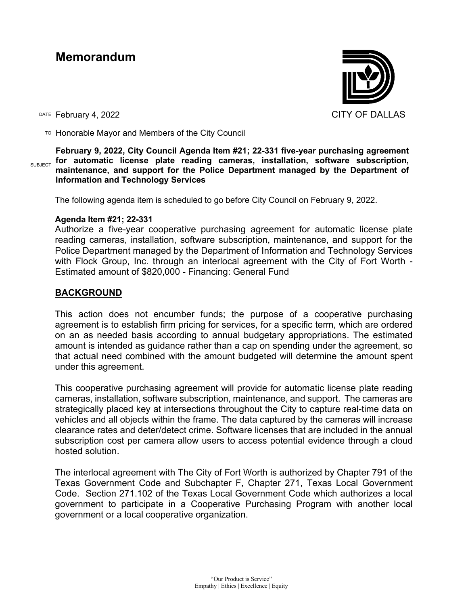## **Memorandum**



DATE February 4, 2022 CITY OF DALLAS

TO Honorable Mayor and Members of the City Council

SUBJECT **February 9, 2022, City Council Agenda Item #21; 22-331 five-year purchasing agreement for automatic license plate reading cameras, installation, software subscription, maintenance, and support for the Police Department managed by the Department of Information and Technology Services**

The following agenda item is scheduled to go before City Council on February 9, 2022.

## **Agenda Item #21; 22-331**

Authorize a five-year cooperative purchasing agreement for automatic license plate reading cameras, installation, software subscription, maintenance, and support for the Police Department managed by the Department of Information and Technology Services with Flock Group, Inc. through an interlocal agreement with the City of Fort Worth - Estimated amount of \$820,000 - Financing: General Fund

## **BACKGROUND**

This action does not encumber funds; the purpose of a cooperative purchasing agreement is to establish firm pricing for services, for a specific term, which are ordered on an as needed basis according to annual budgetary appropriations. The estimated amount is intended as guidance rather than a cap on spending under the agreement, so that actual need combined with the amount budgeted will determine the amount spent under this agreement.

This cooperative purchasing agreement will provide for automatic license plate reading cameras, installation, software subscription, maintenance, and support. The cameras are strategically placed key at intersections throughout the City to capture real-time data on vehicles and all objects within the frame. The data captured by the cameras will increase clearance rates and deter/detect crime. Software licenses that are included in the annual subscription cost per camera allow users to access potential evidence through a cloud hosted solution.

The interlocal agreement with The City of Fort Worth is authorized by Chapter 791 of the Texas Government Code and Subchapter F, Chapter 271, Texas Local Government Code. Section 271.102 of the Texas Local Government Code which authorizes a local government to participate in a Cooperative Purchasing Program with another local government or a local cooperative organization.